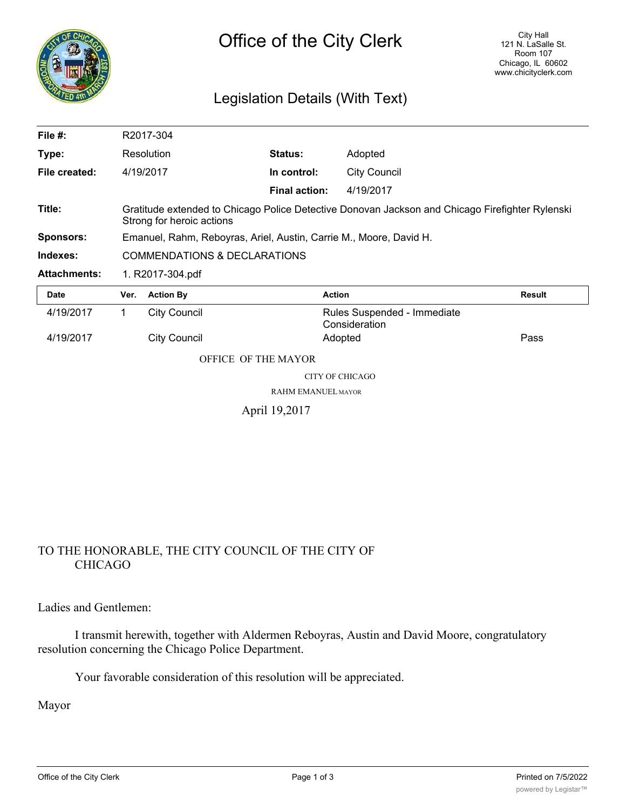

## Legislation Details (With Text)

| File $#$ :          |                                                                                                                              | R2017-304           |                           |                                              |               |
|---------------------|------------------------------------------------------------------------------------------------------------------------------|---------------------|---------------------------|----------------------------------------------|---------------|
| Type:               |                                                                                                                              | Resolution          | Status:                   | Adopted                                      |               |
| File created:       |                                                                                                                              | 4/19/2017           | In control:               | <b>City Council</b>                          |               |
|                     |                                                                                                                              |                     | <b>Final action:</b>      | 4/19/2017                                    |               |
| Title:              | Gratitude extended to Chicago Police Detective Donovan Jackson and Chicago Firefighter Rylenski<br>Strong for heroic actions |                     |                           |                                              |               |
| <b>Sponsors:</b>    | Emanuel, Rahm, Reboyras, Ariel, Austin, Carrie M., Moore, David H.                                                           |                     |                           |                                              |               |
| Indexes:            | <b>COMMENDATIONS &amp; DECLARATIONS</b>                                                                                      |                     |                           |                                              |               |
| <b>Attachments:</b> | 1. R2017-304.pdf                                                                                                             |                     |                           |                                              |               |
| <b>Date</b>         | Ver.                                                                                                                         | <b>Action By</b>    |                           | <b>Action</b>                                | <b>Result</b> |
| 4/19/2017           |                                                                                                                              |                     |                           |                                              |               |
|                     | 1.                                                                                                                           | <b>City Council</b> |                           | Rules Suspended - Immediate<br>Consideration |               |
| 4/19/2017           |                                                                                                                              | <b>City Council</b> |                           | Adopted                                      | Pass          |
|                     |                                                                                                                              | OFFICE OF THE MAYOR |                           |                                              |               |
|                     |                                                                                                                              |                     |                           | CITY OF CHICAGO                              |               |
|                     |                                                                                                                              |                     | <b>RAHM EMANUEL MAYOR</b> |                                              |               |

## TO THE HONORABLE, THE CITY COUNCIL OF THE CITY OF CHICAGO

Ladies and Gentlemen:

I transmit herewith, together with Aldermen Reboyras, Austin and David Moore, congratulatory resolution concerning the Chicago Police Department.

Your favorable consideration of this resolution will be appreciated.

Mayor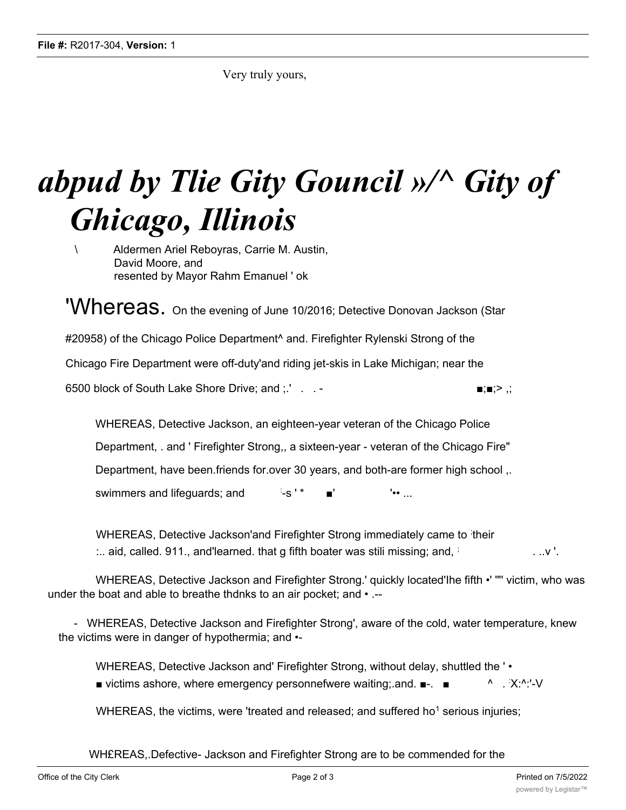Very truly yours,

## *abpud by Tlie Gity Gouncil »/^ Gity of Ghicago, Illinois*

\ Aldermen Ariel Reboyras, Carrie M. Austin, David Moore, and resented by Mayor Rahm Emanuel ' ok

**'Whereas.** On the evening of June 10/2016; Detective Donovan Jackson (Star #20958) of the Chicago Police Department<sup>^</sup> and. Firefighter Rylenski Strong of the Chicago Fire Department were off-duty'and riding jet-skis in Lake Michigan; near the

6500 block of South Lake Shore Drive; and ;.' . . - ■;■;> ,;

WHEREAS, Detective Jackson, an eighteen-year veteran of the Chicago Police Department, . and ' Firefighter Strong,, a sixteen-year - veteran of the Chicago Fire" Department, have been.friends for.over 30 years, and both-are former high school ,. swimmers and lifeguards; and  $\cdot$  is  $\cdot$  \*  $!\bullet\ldots$ 

WHEREAS, Detective Jackson'and Firefighter Strong immediately came to their :.. aid, called. 911., and learned. that g fifth boater was stili missing; and,  $\frac{1}{2}$  ...  $\frac{1}{2}$  ...  $\frac{1}{2}$  ...  $\frac{1}{2}$  ...  $\frac{1}{2}$  ...  $\frac{1}{2}$  ...

WHEREAS, Detective Jackson and Firefighter Strong.' quickly located'Ihe fifth •' '"' victim, who was under the boat and able to breathe thdnks to an air pocket; and • .--

- WHEREAS, Detective Jackson and Firefighter Strong', aware of the cold, water temperature, knew the victims were in danger of hypothermia; and •-

WHEREAS, Detective Jackson and' Firefighter Strong, without delay, shuttled the ' • ■ victims ashore, where emergency personnefwere waiting; and. ■-. ■ **A** :  $X \cdot A \cdot I$ 

WHEREAS, the victims, were 'treated and released; and suffered ho<sup>1</sup> serious injuries;

WH£REAS,.Defective- Jackson and Firefighter Strong are to be commended for the